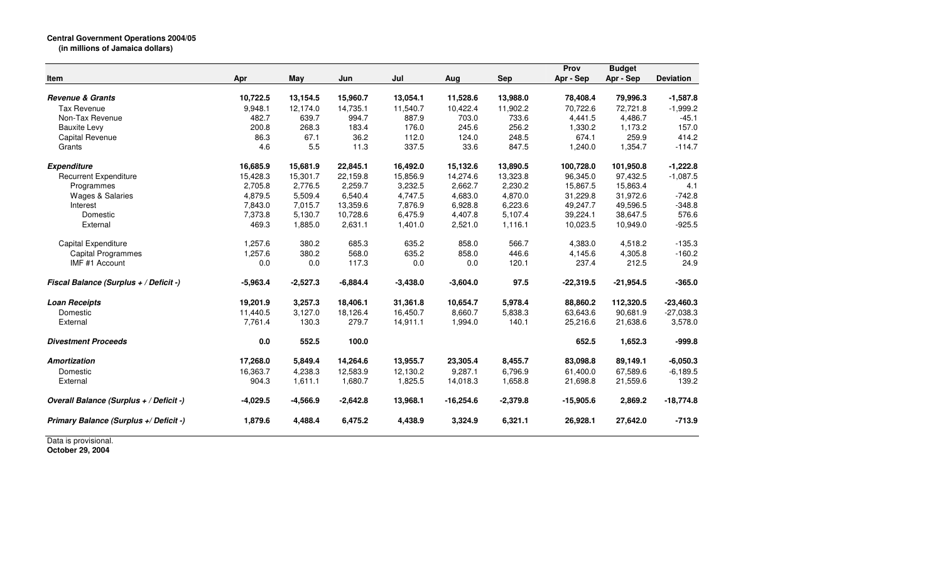|                                         |            |            |            |            |             |            | Prov        | <b>Budget</b> |                  |
|-----------------------------------------|------------|------------|------------|------------|-------------|------------|-------------|---------------|------------------|
| Item                                    | Apr        | May        | Jun        | Jul        | Aug         | <b>Sep</b> | Apr - Sep   | Apr - Sep     | <b>Deviation</b> |
| <b>Revenue &amp; Grants</b>             | 10,722.5   | 13,154.5   | 15,960.7   | 13,054.1   | 11,528.6    | 13,988.0   | 78,408.4    | 79,996.3      | $-1,587.8$       |
| <b>Tax Revenue</b>                      | 9,948.1    | 12,174.0   | 14,735.1   | 11,540.7   | 10,422.4    | 11,902.2   | 70,722.6    | 72,721.8      | $-1,999.2$       |
| Non-Tax Revenue                         | 482.7      | 639.7      | 994.7      | 887.9      | 703.0       | 733.6      | 4,441.5     | 4,486.7       | $-45.1$          |
| <b>Bauxite Levy</b>                     | 200.8      | 268.3      | 183.4      | 176.0      | 245.6       | 256.2      | 1,330.2     | 1,173.2       | 157.0            |
| Capital Revenue                         | 86.3       | 67.1       | 36.2       | 112.0      | 124.0       | 248.5      | 674.1       | 259.9         | 414.2            |
| Grants                                  | 4.6        | 5.5        | 11.3       | 337.5      | 33.6        | 847.5      | 1,240.0     | 1,354.7       | $-114.7$         |
| <b>Expenditure</b>                      | 16,685.9   | 15,681.9   | 22,845.1   | 16,492.0   | 15,132.6    | 13,890.5   | 100,728.0   | 101,950.8     | $-1,222.8$       |
| <b>Recurrent Expenditure</b>            | 15,428.3   | 15,301.7   | 22,159.8   | 15,856.9   | 14,274.6    | 13,323.8   | 96,345.0    | 97,432.5      | $-1,087.5$       |
| Programmes                              | 2,705.8    | 2,776.5    | 2,259.7    | 3,232.5    | 2,662.7     | 2,230.2    | 15,867.5    | 15,863.4      | 4.1              |
| <b>Wages &amp; Salaries</b>             | 4,879.5    | 5,509.4    | 6,540.4    | 4,747.5    | 4,683.0     | 4,870.0    | 31,229.8    | 31,972.6      | $-742.8$         |
| Interest                                | 7,843.0    | 7,015.7    | 13,359.6   | 7,876.9    | 6,928.8     | 6,223.6    | 49,247.7    | 49,596.5      | $-348.8$         |
| Domestic                                | 7,373.8    | 5,130.7    | 10,728.6   | 6,475.9    | 4,407.8     | 5,107.4    | 39,224.1    | 38,647.5      | 576.6            |
| External                                | 469.3      | 1,885.0    | 2,631.1    | 1,401.0    | 2,521.0     | 1,116.1    | 10,023.5    | 10,949.0      | $-925.5$         |
| Capital Expenditure                     | 1,257.6    | 380.2      | 685.3      | 635.2      | 858.0       | 566.7      | 4,383.0     | 4,518.2       | $-135.3$         |
| <b>Capital Programmes</b>               | 1,257.6    | 380.2      | 568.0      | 635.2      | 858.0       | 446.6      | 4,145.6     | 4,305.8       | $-160.2$         |
| IMF #1 Account                          | 0.0        | 0.0        | 117.3      | 0.0        | 0.0         | 120.1      | 237.4       | 212.5         | 24.9             |
| Fiscal Balance (Surplus + / Deficit -)  | $-5,963.4$ | $-2,527.3$ | $-6,884.4$ | $-3,438.0$ | $-3,604.0$  | 97.5       | $-22,319.5$ | $-21,954.5$   | $-365.0$         |
| <b>Loan Receipts</b>                    | 19,201.9   | 3,257.3    | 18,406.1   | 31,361.8   | 10,654.7    | 5,978.4    | 88,860.2    | 112,320.5     | $-23,460.3$      |
| Domestic                                | 11,440.5   | 3,127.0    | 18,126.4   | 16,450.7   | 8,660.7     | 5,838.3    | 63,643.6    | 90,681.9      | $-27,038.3$      |
| External                                | 7,761.4    | 130.3      | 279.7      | 14,911.1   | 1,994.0     | 140.1      | 25,216.6    | 21,638.6      | 3,578.0          |
| <b>Divestment Proceeds</b>              | 0.0        | 552.5      | 100.0      |            |             |            | 652.5       | 1,652.3       | $-999.8$         |
| <b>Amortization</b>                     | 17,268.0   | 5,849.4    | 14,264.6   | 13,955.7   | 23,305.4    | 8,455.7    | 83,098.8    | 89,149.1      | $-6,050.3$       |
| Domestic                                | 16,363.7   | 4,238.3    | 12,583.9   | 12,130.2   | 9,287.1     | 6,796.9    | 61,400.0    | 67,589.6      | $-6.189.5$       |
| External                                | 904.3      | 1,611.1    | 1,680.7    | 1,825.5    | 14,018.3    | 1,658.8    | 21,698.8    | 21,559.6      | 139.2            |
| Overall Balance (Surplus + / Deficit -) | $-4,029.5$ | $-4,566.9$ | $-2,642.8$ | 13,968.1   | $-16,254.6$ | $-2,379.8$ | $-15,905.6$ | 2,869.2       | $-18,774.8$      |
| Primary Balance (Surplus +/ Deficit -)  | 1,879.6    | 4,488.4    | 6,475.2    | 4,438.9    | 3,324.9     | 6,321.1    | 26,928.1    | 27,642.0      | $-713.9$         |

Data is provisional. **October 29, 2004**